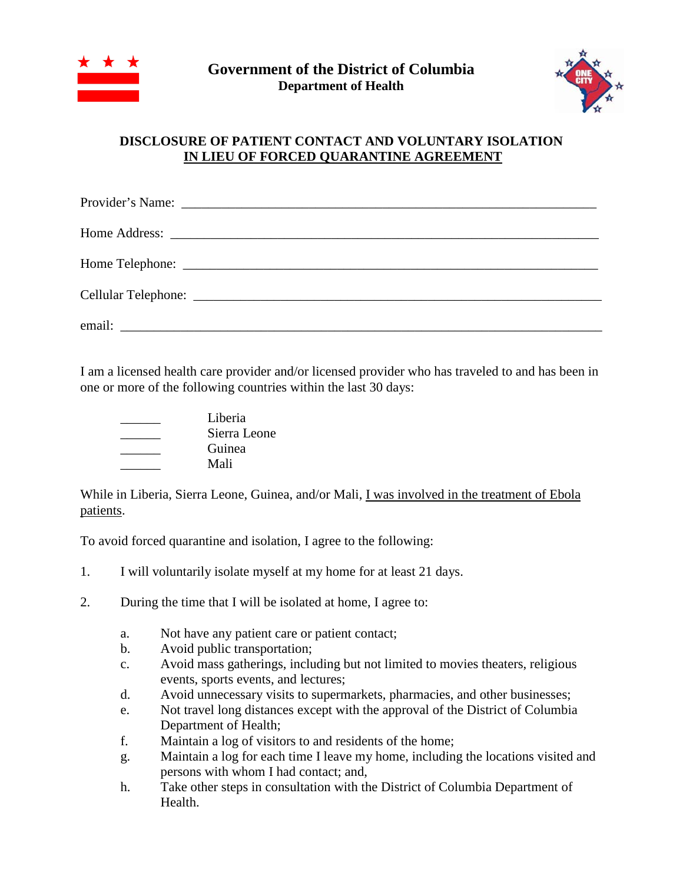



## **DISCLOSURE OF PATIENT CONTACT AND VOLUNTARY ISOLATION IN LIEU OF FORCED QUARANTINE AGREEMENT**

I am a licensed health care provider and/or licensed provider who has traveled to and has been in one or more of the following countries within the last 30 days:

| Liberia      |
|--------------|
| Sierra Leone |
| Guinea       |
| Mali         |

While in Liberia, Sierra Leone, Guinea, and/or Mali, I was involved in the treatment of Ebola patients.

To avoid forced quarantine and isolation, I agree to the following:

- 1. I will voluntarily isolate myself at my home for at least 21 days.
- 2. During the time that I will be isolated at home, I agree to:
	- a. Not have any patient care or patient contact;
	- b. Avoid public transportation;
	- c. Avoid mass gatherings, including but not limited to movies theaters, religious events, sports events, and lectures;
	- d. Avoid unnecessary visits to supermarkets, pharmacies, and other businesses;
	- e. Not travel long distances except with the approval of the District of Columbia Department of Health;
	- f. Maintain a log of visitors to and residents of the home;
	- g. Maintain a log for each time I leave my home, including the locations visited and persons with whom I had contact; and,
	- h. Take other steps in consultation with the District of Columbia Department of Health.